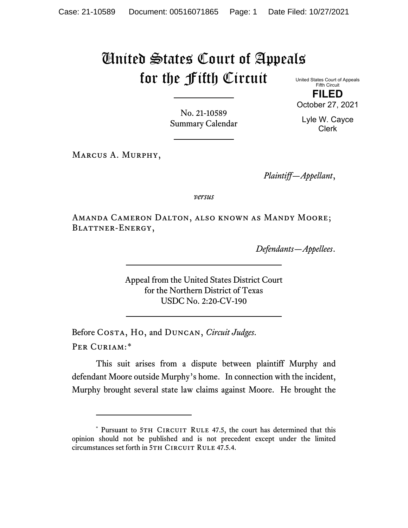# United States Court of Appeals for the Fifth Circuit United States Court of Appeals

Fifth Circuit **FILED**

October 27, 2021

Lyle W. Cayce Clerk

No. 21-10589 Summary Calendar

Marcus A. Murphy,

*Plaintiff—Appellant*,

*versus*

Amanda Cameron Dalton, also known as Mandy Moore; Blattner-Energy,

*Defendants—Appellees*.

Appeal from the United States District Court for the Northern District of Texas USDC No. 2:20-CV-190

Before Costa, Ho, and Duncan, *Circuit Judges*. Per Curiam:[\\*](#page-0-0)

This suit arises from a dispute between plaintiff Murphy and defendant Moore outside Murphy's home. In connection with the incident, Murphy brought several state law claims against Moore. He brought the

<span id="page-0-0"></span><sup>\*</sup> Pursuant to 5TH CIRCUIT RULE 47.5, the court has determined that this opinion should not be published and is not precedent except under the limited circumstances set forth in 5TH CIRCUIT RULE 47.5.4.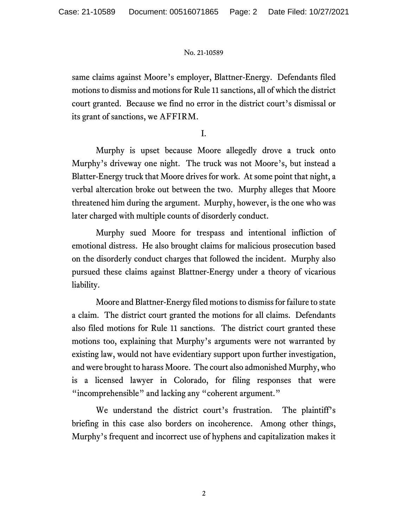same claims against Moore's employer, Blattner-Energy. Defendants filed motions to dismiss and motions for Rule 11 sanctions, all of which the district court granted. Because we find no error in the district court's dismissal or its grant of sanctions, we AFFIRM.

I.

Murphy is upset because Moore allegedly drove a truck onto Murphy's driveway one night. The truck was not Moore's, but instead a Blatter-Energy truck that Moore drives for work. At some point that night, a verbal altercation broke out between the two. Murphy alleges that Moore threatened him during the argument. Murphy, however, is the one who was later charged with multiple counts of disorderly conduct.

Murphy sued Moore for trespass and intentional infliction of emotional distress. He also brought claims for malicious prosecution based on the disorderly conduct charges that followed the incident. Murphy also pursued these claims against Blattner-Energy under a theory of vicarious liability.

Moore and Blattner-Energy filed motions to dismiss for failure to state a claim. The district court granted the motions for all claims. Defendants also filed motions for Rule 11 sanctions. The district court granted these motions too, explaining that Murphy's arguments were not warranted by existing law, would not have evidentiary support upon further investigation, and were brought to harass Moore. The court also admonished Murphy, who is a licensed lawyer in Colorado, for filing responses that were "incomprehensible" and lacking any "coherent argument."

We understand the district court's frustration. The plaintiff's briefing in this case also borders on incoherence. Among other things, Murphy's frequent and incorrect use of hyphens and capitalization makes it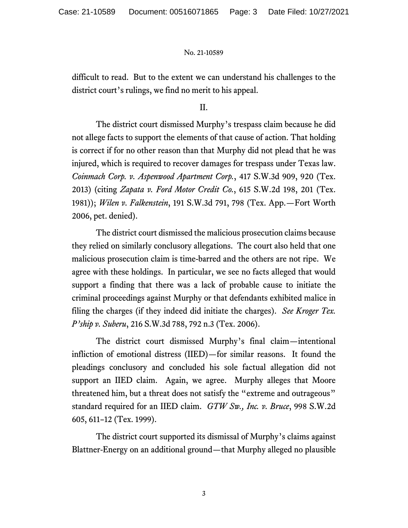difficult to read. But to the extent we can understand his challenges to the district court's rulings, we find no merit to his appeal.

II.

The district court dismissed Murphy's trespass claim because he did not allege facts to support the elements of that cause of action. That holding is correct if for no other reason than that Murphy did not plead that he was injured, which is required to recover damages for trespass under Texas law. *Coinmach Corp. v. Aspenwood Apartment Corp.*, 417 S.W.3d 909, 920 (Tex. 2013) (citing *Zapata v. Ford Motor Credit Co.*, 615 S.W.2d 198, 201 (Tex. 1981)); *Wilen v. Falkenstein*, 191 S.W.3d 791, 798 (Tex. App.—Fort Worth 2006, pet. denied).

The district court dismissed the malicious prosecution claims because they relied on similarly conclusory allegations. The court also held that one malicious prosecution claim is time-barred and the others are not ripe. We agree with these holdings. In particular, we see no facts alleged that would support a finding that there was a lack of probable cause to initiate the criminal proceedings against Murphy or that defendants exhibited malice in filing the charges (if they indeed did initiate the charges). *See Kroger Tex. P'ship v. Suberu*, 216 S.W.3d 788, 792 n.3 (Tex. 2006).

The district court dismissed Murphy's final claim—intentional infliction of emotional distress (IIED)—for similar reasons. It found the pleadings conclusory and concluded his sole factual allegation did not support an IIED claim. Again, we agree. Murphy alleges that Moore threatened him, but a threat does not satisfy the "extreme and outrageous" standard required for an IIED claim. *GTW Sw., Inc. v. Bruce*, 998 S.W.2d 605, 611–12 (Tex. 1999).

The district court supported its dismissal of Murphy's claims against Blattner-Energy on an additional ground—that Murphy alleged no plausible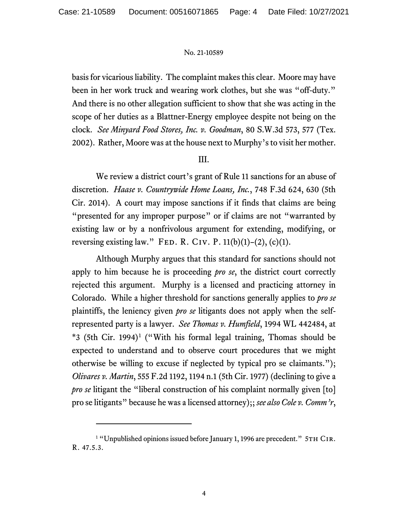basis for vicarious liability. The complaint makes this clear. Moore may have been in her work truck and wearing work clothes, but she was "off-duty." And there is no other allegation sufficient to show that she was acting in the scope of her duties as a Blattner-Energy employee despite not being on the clock. *See Minyard Food Stores, Inc. v. Goodman*, 80 S.W.3d 573, 577 (Tex. 2002).Rather, Moore was at the house next to Murphy's to visit her mother.

## III.

We review a district court's grant of Rule 11 sanctions for an abuse of discretion. *Haase v. Countrywide Home Loans, Inc.*, 748 F.3d 624, 630 (5th Cir. 2014). A court may impose sanctions if it finds that claims are being "presented for any improper purpose" or if claims are not "warranted by existing law or by a nonfrivolous argument for extending, modifying, or reversing existing law." FED. R. CIV. P.  $11(b)(1)-(2)$ ,  $(c)(1)$ .

Although Murphy argues that this standard for sanctions should not apply to him because he is proceeding *pro se*, the district court correctly rejected this argument. Murphy is a licensed and practicing attorney in Colorado. While a higher threshold for sanctions generally applies to *pro se* plaintiffs, the leniency given *pro se* litigants does not apply when the selfrepresented party is a lawyer. *See Thomas v. Humfield*, 1994 WL 442484, at  $*3$  (5th Cir. [1](#page-3-0)994)<sup>1</sup> ("With his formal legal training, Thomas should be expected to understand and to observe court procedures that we might otherwise be willing to excuse if neglected by typical pro se claimants."); *Olivares v. Martin*, 555 F.2d 1192, 1194 n.1 (5th Cir. 1977) (declining to give a *pro se* litigant the "liberal construction of his complaint normally given [to] pro se litigants" because he was a licensed attorney);; *see also Cole v. Comm'r*,

<span id="page-3-0"></span><sup>&</sup>lt;sup>1</sup> "Unpublished opinions issued before January 1, 1996 are precedent." 5TH CIR. R. 47.5.3.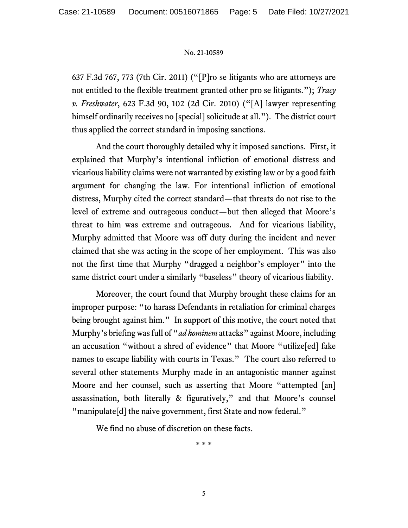637 F.3d 767, 773 (7th Cir. 2011) ("[P]ro se litigants who are attorneys are not entitled to the flexible treatment granted other pro se litigants."); *Tracy v. Freshwater*, 623 F.3d 90, 102 (2d Cir. 2010) ("[A] lawyer representing himself ordinarily receives no [special] solicitude at all."). The district court thus applied the correct standard in imposing sanctions.

And the court thoroughly detailed why it imposed sanctions. First, it explained that Murphy's intentional infliction of emotional distress and vicarious liability claims were not warranted by existing law or by a good faith argument for changing the law. For intentional infliction of emotional distress, Murphy cited the correct standard—that threats do not rise to the level of extreme and outrageous conduct—but then alleged that Moore's threat to him was extreme and outrageous. And for vicarious liability, Murphy admitted that Moore was off duty during the incident and never claimed that she was acting in the scope of her employment. This was also not the first time that Murphy "dragged a neighbor's employer" into the same district court under a similarly "baseless" theory of vicarious liability.

Moreover, the court found that Murphy brought these claims for an improper purpose: "to harass Defendants in retaliation for criminal charges being brought against him." In support of this motive, the court noted that Murphy's briefing was full of "*ad hominem* attacks" against Moore, including an accusation "without a shred of evidence" that Moore "utilize[ed] fake names to escape liability with courts in Texas." The court also referred to several other statements Murphy made in an antagonistic manner against Moore and her counsel, such as asserting that Moore "attempted [an] assassination, both literally & figuratively," and that Moore's counsel "manipulate[d] the naive government, first State and now federal."

We find no abuse of discretion on these facts.

\* \* \*